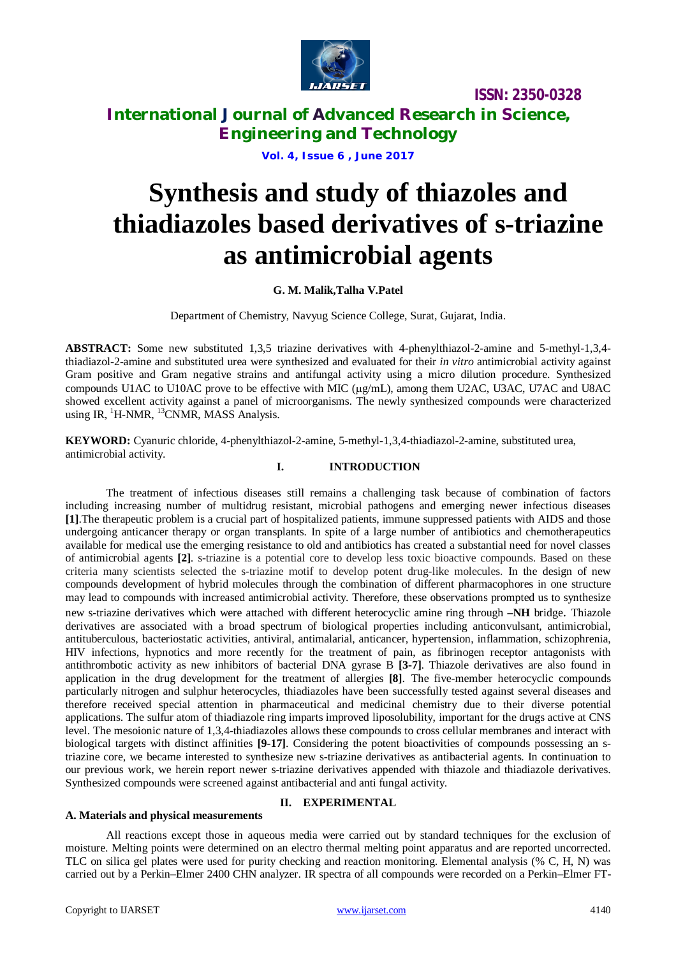

# **International Journal of Advanced Research in Science, Engineering and Technology**

**Vol. 4, Issue 6 , June 2017**

# **Synthesis and study of thiazoles and thiadiazoles based derivatives of s-triazine as antimicrobial agents**

### **G. M. Malik,Talha V.Patel**

Department of Chemistry, Navyug Science College, Surat, Gujarat, India.

**ABSTRACT:** Some new substituted 1,3,5 triazine derivatives with 4-phenylthiazol-2-amine and 5-methyl-1,3,4 thiadiazol-2-amine and substituted urea were synthesized and evaluated for their *in vitro* antimicrobial activity against Gram positive and Gram negative strains and antifungal activity using a micro dilution procedure. Synthesized compounds U1AC to U10AC prove to be effective with MIC ( $\mu$ g/mL), among them U2AC, U3AC, U7AC and U8AC showed excellent activity against a panel of microorganisms. The newly synthesized compounds were characterized using IR, <sup>1</sup>H-NMR, <sup>13</sup>CNMR, MASS Analysis.

**KEYWORD:** Cyanuric chloride, 4-phenylthiazol-2-amine, 5-methyl-1,3,4-thiadiazol-2-amine, substituted urea, antimicrobial activity.

### **I. INTRODUCTION**

The treatment of infectious diseases still remains a challenging task because of combination of factors including increasing number of multidrug resistant, microbial pathogens and emerging newer infectious diseases **[1]**.The therapeutic problem is a crucial part of hospitalized patients, immune suppressed patients with AIDS and those undergoing anticancer therapy or organ transplants. In spite of a large number of antibiotics and chemotherapeutics available for medical use the emerging resistance to old and antibiotics has created a substantial need for novel classes of antimicrobial agents **[2]**. s-triazine is a potential core to develop less toxic bioactive compounds. Based on these criteria many scientists selected the s*-*triazine motif to develop potent drug-like molecules. In the design of new compounds development of hybrid molecules through the combination of different pharmacophores in one structure may lead to compounds with increased antimicrobial activity. Therefore, these observations prompted us to synthesize new s-triazine derivatives which were attached with different heterocyclic amine ring through **–NH** bridge. Thiazole derivatives are associated with a broad spectrum of biological properties including anticonvulsant, antimicrobial, antituberculous, bacteriostatic activities, antiviral, antimalarial, anticancer, hypertension, inflammation, schizophrenia, HIV infections, hypnotics and more recently for the treatment of pain, as fibrinogen receptor antagonists with antithrombotic activity as new inhibitors of bacterial DNA gyrase B **[3-7]**. Thiazole derivatives are also found in application in the drug development for the treatment of allergies **[8]**. The five-member heterocyclic compounds particularly nitrogen and sulphur heterocycles, thiadiazoles have been successfully tested against several diseases and therefore received special attention in pharmaceutical and medicinal chemistry due to their diverse potential applications. The sulfur atom of thiadiazole ring imparts improved liposolubility, important for the drugs active at CNS level. The mesoionic nature of 1,3,4-thiadiazoles allows these compounds to cross cellular membranes and interact with biological targets with distinct affinities **[9-17]**. Considering the potent bioactivities of compounds possessing an striazine core, we became interested to synthesize new s-triazine derivatives as antibacterial agents. In continuation to our previous work, we herein report newer s-triazine derivatives appended with thiazole and thiadiazole derivatives. Synthesized compounds were screened against antibacterial and anti fungal activity.

### **A. Materials and physical measurements**

### **II. EXPERIMENTAL**

All reactions except those in aqueous media were carried out by standard techniques for the exclusion of moisture. Melting points were determined on an electro thermal melting point apparatus and are reported uncorrected. TLC on silica gel plates were used for purity checking and reaction monitoring. Elemental analysis (% C, H, N) was carried out by a Perkin–Elmer 2400 CHN analyzer. IR spectra of all compounds were recorded on a Perkin–Elmer FT-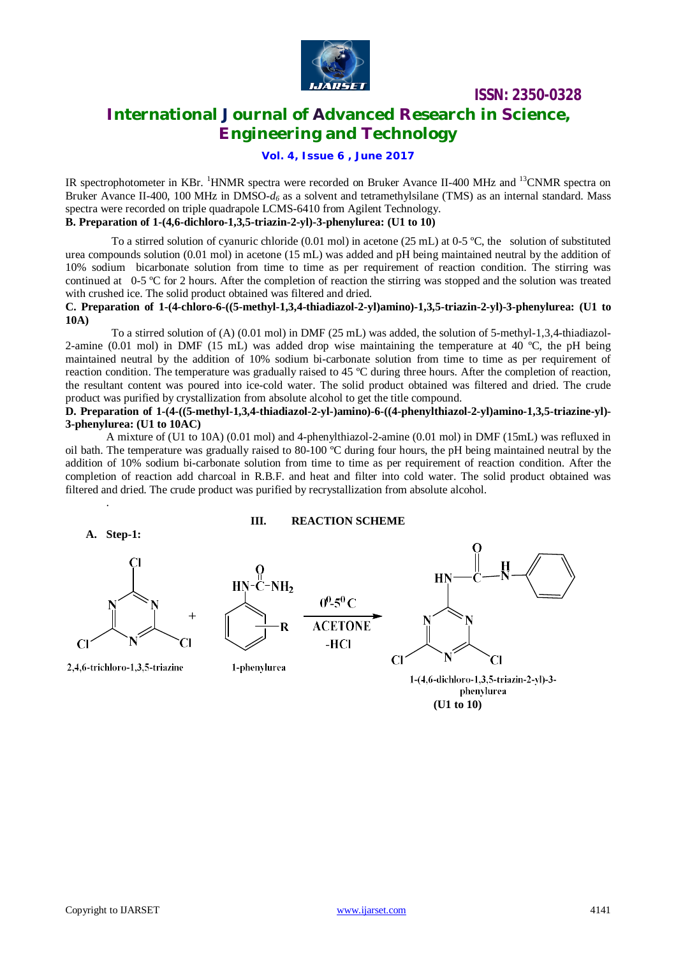

### **International Journal of Advanced Research in Science, Engineering and Technology**

### **Vol. 4, Issue 6 , June 2017**

IR spectrophotometer in KBr. <sup>1</sup>HNMR spectra were recorded on Bruker Avance II-400 MHz and <sup>13</sup>CNMR spectra on Bruker Avance II-400, 100 MHz in DMSO-*d<sup>6</sup>* as a solvent and tetramethylsilane (TMS) as an internal standard. Mass spectra were recorded on triple quadrapole LCMS-6410 from Agilent Technology. **B. Preparation of 1-(4,6-dichloro-1,3,5-triazin-2-yl)-3-phenylurea: (U1 to 10)**

To a stirred solution of cyanuric chloride (0.01 mol) in acetone (25 mL) at 0-5 ºC, the solution of substituted urea compounds solution (0.01 mol) in acetone (15 mL) was added and pH being maintained neutral by the addition of 10% sodium bicarbonate solution from time to time as per requirement of reaction condition. The stirring was continued at  $0-5$  °C for 2 hours. After the completion of reaction the stirring was stopped and the solution was treated with crushed ice. The solid product obtained was filtered and dried.

### **C. Preparation of 1-(4-chloro-6-((5-methyl-1,3,4-thiadiazol-2-yl)amino)-1,3,5-triazin-2-yl)-3-phenylurea: (U1 to 10A)**

To a stirred solution of (A) (0.01 mol) in DMF (25 mL) was added, the solution of 5-methyl-1,3,4-thiadiazol-2-amine (0.01 mol) in DMF (15 mL) was added drop wise maintaining the temperature at 40 °C, the pH being maintained neutral by the addition of 10% sodium bi-carbonate solution from time to time as per requirement of reaction condition. The temperature was gradually raised to 45 ºC during three hours. After the completion of reaction, the resultant content was poured into ice-cold water. The solid product obtained was filtered and dried. The crude product was purified by crystallization from absolute alcohol to get the title compound.

### **D. Preparation of 1-(4-((5-methyl-1,3,4-thiadiazol-2-yl-)amino)-6-((4-phenylthiazol-2-yl)amino-1,3,5-triazine-yl)- 3-phenylurea: (U1 to 10AC)**

A mixture of (U1 to 10A) (0.01 mol) and 4-phenylthiazol-2-amine (0.01 mol) in DMF (15mL) was refluxed in oil bath. The temperature was gradually raised to 80-100 ºC during four hours, the pH being maintained neutral by the addition of 10% sodium bi-carbonate solution from time to time as per requirement of reaction condition. After the completion of reaction add charcoal in R.B.F. and heat and filter into cold water. The solid product obtained was filtered and dried. The crude product was purified by recrystallization from absolute alcohol.

**A. Step-1:**

.

### **III. REACTION SCHEME**

-HCI



2,4,6-trichloro-1,3,5-triazine



∙Ĉ−NH<sub>2</sub>

**HN** 

1-phenylurea



1-(4,6-dichloro-1,3,5-triazin-2-yl)-3phenylurea **(U1 to 10)**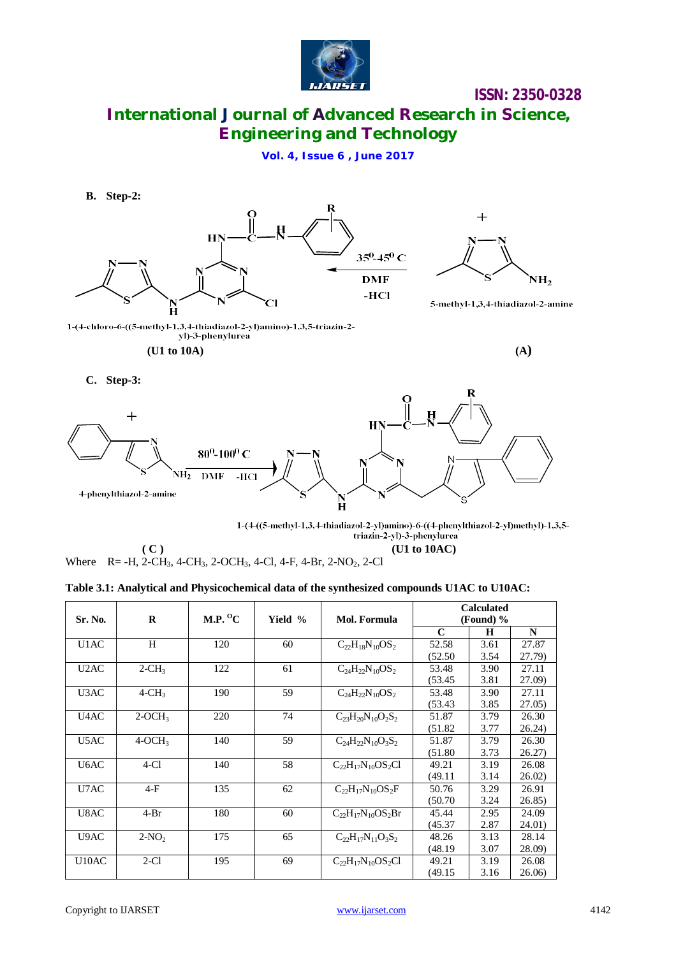

# **International Journal of Advanced Research in Science, Engineering and Technology**

**Vol. 4, Issue 6 , June 2017**



**C. Step-3:**



1-(4-((5-methyl-1,3,4-thiadiazol-2-yl)amino)-6-((4-phenylthiazol-2-yl)methyl)-1,3,5triazin-2-yl)-3-phenylurea **( C ) (U1 to 10AC)**

Where  $R = -H$ , 2-CH<sub>3</sub>, 4-CH<sub>3</sub>, 2-OCH<sub>3</sub>, 4-Cl, 4-F, 4-Br, 2-NO<sub>2</sub>, 2-Cl

|  | Table 3.1: Analytical and Physicochemical data of the synthesized compounds U1AC to U10AC: |  |
|--|--------------------------------------------------------------------------------------------|--|
|  |                                                                                            |  |

| <b>Sr. No.</b>     | R                    | M.P. $^0C$ | Yield % | Mol. Formula               | <b>Calculated</b><br>(Found) $%$ |             |        |
|--------------------|----------------------|------------|---------|----------------------------|----------------------------------|-------------|--------|
|                    |                      |            |         |                            | $\mathbf C$                      | $\mathbf H$ | N      |
| U1AC               | H                    | 120        | 60      | $C_{22}H_{18}N_{10}OS_2$   | 52.58                            | 3.61        | 27.87  |
|                    |                      |            |         |                            | (52.50)                          | 3.54        | 27.79) |
| U <sub>2</sub> AC  | $2-CH3$              | 122        | 61      | $C_{24}H_{22}N_{10}OS_2$   | 53.48                            | 3.90        | 27.11  |
|                    |                      |            |         |                            | (53.45)                          | 3.81        | 27.09  |
| U3AC               | $4$ -CH <sub>3</sub> | 190        | 59      | $C_{24}H_{22}N_{10}OS_2$   | 53.48                            | 3.90        | 27.11  |
|                    |                      |            |         |                            | (53.43)                          | 3.85        | 27.05) |
| U4AC               | $2-OCH3$             | 220        | 74      | $C_{23}H_{20}N_{10}O_2S_2$ | 51.87                            | 3.79        | 26.30  |
|                    |                      |            |         |                            | (51.82)                          | 3.77        | 26.24) |
| U5AC               | $4-OCH3$             | 140        | 59      | $C_{24}H_{22}N_{10}O_3S_2$ | 51.87                            | 3.79        | 26.30  |
|                    |                      |            |         |                            | (51.80)                          | 3.73        | 26.27) |
| U6AC               | $4-C1$               | 140        | 58      | $C_{22}H_{17}N_{10}OS_2Cl$ | 49.21                            | 3.19        | 26.08  |
|                    |                      |            |         |                            | (49.11)                          | 3.14        | 26.02) |
| U7AC               | $4-F$                | 135        | 62      | $C_{22}H_{17}N_{10}OS_2F$  | 50.76                            | 3.29        | 26.91  |
|                    |                      |            |         |                            | (50.70)                          | 3.24        | 26.85) |
| U8AC               | $4-Br$               | 180        | 60      | $C_{22}H_{17}N_{10}OS_2Br$ | 45.44                            | 2.95        | 24.09  |
|                    |                      |            |         |                            | (45.37)                          | 2.87        | 24.01) |
| U9AC               | $2-NO2$              | 175        | 65      | $C_{22}H_{17}N_{11}O_3S_2$ | 48.26                            | 3.13        | 28.14  |
|                    |                      |            |         |                            | (48.19)                          | 3.07        | 28.09) |
| U <sub>10</sub> AC | $2-C1$               | 195        | 69      | $C_{22}H_{17}N_{10}OS_2Cl$ | 49.21                            | 3.19        | 26.08  |
|                    |                      |            |         |                            | (49.15)                          | 3.16        | 26.06  |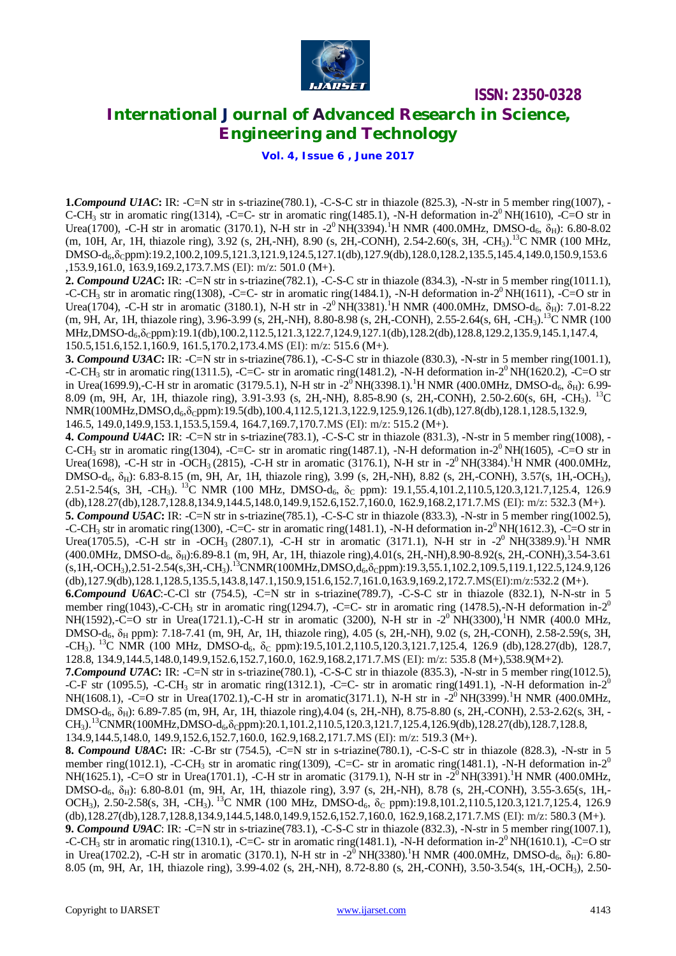

# **International Journal of Advanced Research in Science, Engineering and Technology**

**Vol. 4, Issue 6 , June 2017**

**1.***Compound U1AC*: IR: -C=N str in s-triazine(780.1), -C-S-C str in thiazole (825.3), -N-str in 5 member ring(1007), -C-CH<sub>3</sub> str in aromatic ring(1314), -C=C- str in aromatic ring(1485.1), -N-H deformation in-2<sup>0</sup> NH(1610), -C=O str in Urea(1700), -C-H str in aromatic (3170.1), N-H str in -2<sup>0</sup> NH(3394).<sup>1</sup>H NMR (400.0MHz, DMSO-d<sub>6</sub>,  $\delta_H$ ): 6.80-8.02 (m, 10H, Ar, 1H, thiazole ring), 3.92 (s, 2H,-NH), 8.90 (s, 2H,-CONH), 2.54-2.60(s, 3H, -CH<sub>3</sub>).<sup>13</sup>C NMR (100 MHz, DMSO-d<sub>6</sub>,δ<sub>C</sub>ppm):19.2,100.2,109.5,121.3,121.9,124.5,127.1(db),127.9(db),128.0,128.2,135.5,145.4,149.0,150.9,153.6 ,153.9,161.0, 163.9,169.2,173.7.MS (EI): m/z: 501.0 (M+).

**2.** *Compound U2AC***:** IR: -C=N str in s-triazine(782.1), -C-S-C str in thiazole (834.3), -N-str in 5 member ring(1011.1), -C-CH<sub>3</sub> str in aromatic ring(1308), -C=C- str in aromatic ring(1484.1), -N-H deformation in-2<sup>0</sup> NH(1611), -C=O str in Urea(1704), -C-H str in aromatic (3180.1), N-H str in -2<sup>0</sup> NH(3381).<sup>1</sup>H NMR (400.0MHz, DMSO-d<sub>6</sub>,  $\delta_H$ ): 7.01-8.22 (m, 9H, Ar, 1H, thiazole ring), 3.96-3.99 (s, 2H,-NH), 8.80-8.98 (s, 2H,-CONH), 2.55-2.64(s, 6H, -CH<sub>3</sub>).<sup>13</sup>C NMR (100 MHz,DMSO-d<sub>6</sub>, $\delta$ <sub>C</sub>ppm):19.1(db),100.2,112.5,121.3,122.7,124.9,127.1(db),128.2(db),128.8,129.2,135.9,145.1,147.4, 150.5,151.6,152.1,160.9, 161.5,170.2,173.4.MS (EI): m/z: 515.6 (M+).

**3.** *Compound U3AC***:** IR: -C=N str in s-triazine(786.1), -C-S-C str in thiazole (830.3), -N-str in 5 member ring(1001.1), -C-CH<sub>3</sub> str in aromatic ring(1311.5), -C=C- str in aromatic ring(1481.2), -N-H deformation in-2<sup>0</sup> NH(1620.2), -C=O str in Urea(1699.9),-C-H str in aromatic (3179.5.1), N-H str in  $-2^{0}$  NH(3398.1).<sup>1</sup>H NMR (400.0MHz, DMSO-d<sub>6</sub>,  $\delta_H$ ): 6.99-8.09 (m, 9H, Ar, 1H, thiazole ring), 3.91-3.93 (s, 2H,-NH), 8.85-8.90 (s, 2H,-CONH), 2.50-2.60(s, 6H, -CH<sub>3</sub>). <sup>13</sup>C NMR(100MHz,DMSO,d<sub>6</sub>,δcppm):19.5(db),100.4,112.5,121.3,122.9,125.9,126.1(db),127.8(db),128.1,128.5,132.9, 146.5, 149.0,149.9,153.1,153.5,159.4, 164.7,169.7,170.7.MS (EI): m/z: 515.2 (M+).

**4.** *Compound U4AC***:** IR: -C=N str in s-triazine(783.1), -C-S-C str in thiazole (831.3), -N-str in 5 member ring(1008), - C-CH<sub>3</sub> str in aromatic ring(1304), -C=C- str in aromatic ring(1487.1), -N-H deformation in-2<sup>0</sup> NH(1605), -C=O str in Urea(1698), -C-H str in -OCH<sub>3</sub> (2815), -C-H str in aromatic (3176.1), N-H str in -2<sup>0</sup> NH(3384).<sup>1</sup>H NMR (400.0MHz,  $DMSO-d_6$ ,  $\delta_H$ ): 6.83-8.15 (m, 9H, Ar, 1H, thiazole ring), 3.99 (s, 2H,-NH), 8.82 (s, 2H,-CONH), 3.57(s, 1H,-OCH<sub>3</sub>), 2.51-2.54(s, 3H, -CH<sub>3</sub>). <sup>13</sup>C NMR (100 MHz, DMSO-d<sub>6</sub>,  $\delta_C$  ppm): 19.1,55.4,101.2,110.5,120.3,121.7,125.4, 126.9 (db),128.27(db),128.7,128.8,134.9,144.5,148.0,149.9,152.6,152.7,160.0, 162.9,168.2,171.7.MS (EI): m/z: 532.3 (M+). **5.** *Compound U5AC***:** IR: -C=N str in s-triazine(785.1), -C-S-C str in thiazole (833.3), -N-str in 5 member ring(1002.5), -C-CH<sub>3</sub> str in aromatic ring(1300), -C=C- str in aromatic ring(1481.1), -N-H deformation in-2<sup>0</sup> NH(1612.3), -C=O str in Urea(1705.5), -C-H str in -OCH<sub>3</sub> (2807.1), -C-H str in aromatic (3171.1), N-H str in -2<sup>0</sup> NH(3389.9).<sup>1</sup>H NMR (400.0MHz, DMSO-d<sub>6</sub>, δ<sub>H</sub>):6.89-8.1 (m, 9H, Ar, 1H, thiazole ring),4.01(s, 2H,-NH),8.90-8.92(s, 2H,-CONH),3.54-3.61  $(s, 1H, -OCH_3)$ ,2.51-2.54(s,3H,-CH<sub>3</sub>).<sup>13</sup>CNMR(100MHz,DMSO,d<sub>6</sub>, $\delta$ <sub>C</sub>ppm):19.3,55.1,102.2,109.5,119.1,122.5,124.9,126 (db),127.9(db),128.1,128.5,135.5,143.8,147.1,150.9,151.6,152.7,161.0,163.9,169.2,172.7.MS(EI):m/z:532.2 (M+). **6.***Compound U6AC*:-C-Cl str (754.5), -C=N str in s-triazine(789.7), -C-S-C str in thiazole (832.1), N-N-str in 5 member ring(1043),-C-CH<sub>3</sub> str in aromatic ring(1294.7), -C=C- str in aromatic ring (1478.5),-N-H deformation in-2<sup>0</sup> NH(1592),-C=O str in Urea(1721.1),-C-H str in aromatic (3200), N-H str in  $-2^{0}$  NH(3300),<sup>1</sup>H NMR (400.0 MHz,  $DMSO-d_6$ ,  $\delta_H$  ppm): 7.18-7.41 (m, 9H, Ar, 1H, thiazole ring), 4.05 (s, 2H,-NH), 9.02 (s, 2H,-CONH), 2.58-2.59(s, 3H,  $-CH_3$ ). <sup>13</sup>C NMR (100 MHz, DMSO-d<sub>6</sub>,  $\delta_C$  ppm):19.5,101.2,110.5,120.3,121.7,125.4, 126.9 (db),128.27(db), 128.7, 128.8, 134.9,144.5,148.0,149.9,152.6,152.7,160.0, 162.9,168.2,171.7.MS (EI): m/z: 535.8 (M+),538.9(M+2). **7.***Compound U7AC***:** IR: -C=N str in s-triazine(780.1), -C-S-C str in thiazole (835.3), -N-str in 5 member ring(1012.5), -C-F str (1095.5), -C-CH<sub>3</sub> str in aromatic ring(1312.1), -C=C- str in aromatic ring(1491.1), -N-H deformation in-2<sup>0</sup> NH(1608.1), -C=O str in Urea(1702.1),-C-H str in aromatic(3171.1), N-H str in -2<sup>0</sup> NH(3399).<sup>1</sup>H NMR (400.0MHz,  $DMSO-d_6$ ,  $\delta_H$ ): 6.89-7.85 (m, 9H, Ar, 1H, thiazole ring),4.04 (s, 2H,-NH), 8.75-8.80 (s, 2H,-CONH), 2.53-2.62(s, 3H, - $CH_3$ ).<sup>13</sup>CNMR(100MHz,DMSO-d<sub>6</sub>, $\delta$ <sub>C</sub>ppm):20.1,101.2,110.5,120.3,121.7,125.4,126.9(db),128.27(db),128.7,128.8, 134.9,144.5,148.0, 149.9,152.6,152.7,160.0, 162.9,168.2,171.7.MS (EI): m/z: 519.3 (M+). **8.** *Compound U8AC***:** IR: -C-Br str (754.5), -C=N str in s-triazine(780.1), -C-S-C str in thiazole (828.3), -N-str in 5 member ring(1012.1), -C-CH<sub>3</sub> str in aromatic ring(1309), -C=C- str in aromatic ring(1481.1), -N-H deformation in-2<sup>0</sup> NH(1625.1), -C=O str in Urea(1701.1), -C-H str in aromatic (3179.1), N-H str in -2<sup>0</sup> NH(3391).<sup>1</sup>H NMR (400.0MHz,  $DMSO-d_6$ ,  $\delta_H$ ): 6.80-8.01 (m, 9H, Ar, 1H, thiazole ring), 3.97 (s, 2H,-NH), 8.78 (s, 2H,-CONH), 3.55-3.65(s, 1H,-OCH<sub>3</sub>), 2.50-2.58(s, 3H, -CH<sub>3</sub>).<sup>13</sup>C NMR (100 MHz, DMSO-d<sub>6</sub>,  $\delta_c$  ppm):19.8,101.2,110.5,120.3,121.7,125.4, 126.9 (db),128.27(db),128.7,128.8,134.9,144.5,148.0,149.9,152.6,152.7,160.0, 162.9,168.2,171.7.MS (EI): m/z: 580.3 (M+). **9.** *Compound U9AC*: IR: -C=N str in s-triazine(783.1), -C-S-C str in thiazole (832.3), -N-str in 5 member ring(1007.1), -C-CH<sub>3</sub> str in aromatic ring(1310.1), -C=C- str in aromatic ring(1481.1), -N-H deformation in-2<sup>0</sup> NH(1610.1), -C=O str in Urea(1702.2), -C-H str in aromatic (3170.1), N-H str in -2<sup>0</sup> NH(3380).<sup>1</sup>H NMR (400.0MHz, DMSO-d<sub>6</sub>,  $\delta_{\rm H}$ ): 6.80-8.05 (m, 9H, Ar, 1H, thiazole ring), 3.99-4.02 (s, 2H,-NH), 8.72-8.80 (s, 2H,-CONH), 3.50-3.54(s, 1H,-OCH3), 2.50-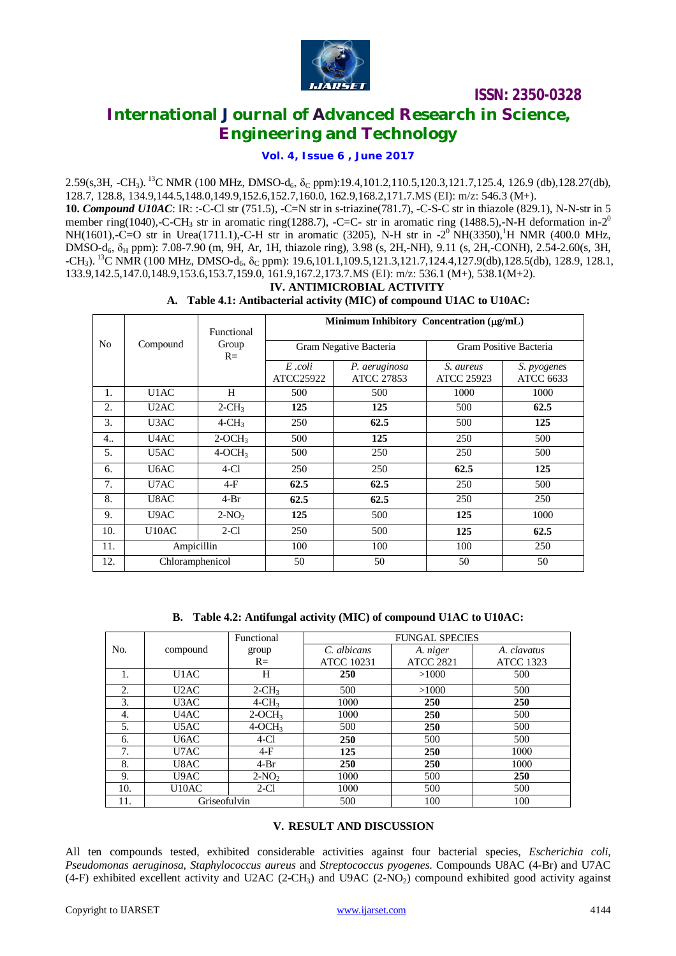

# **International Journal of Advanced Research in Science, Engineering and Technology**

**Vol. 4, Issue 6 , June 2017**

2.59(s,3H, -CH<sub>3</sub>). <sup>13</sup>C NMR (100 MHz, DMSO-d<sub>6</sub>,  $\delta$ <sub>C</sub> ppm):19.4,101.2,110.5,120.3,121.7,125.4, 126.9 (db),128.27(db), 128.7, 128.8, 134.9,144.5,148.0,149.9,152.6,152.7,160.0, 162.9,168.2,171.7.MS (EI): m/z: 546.3 (M+).

**10.** *Compound U10AC*: IR: :-C-Cl str (751.5), -C=N str in s-triazine(781.7), -C-S-C str in thiazole (829.1), N-N-str in 5 member ring(1040),-C-CH<sub>3</sub> str in aromatic ring(1288.7), -C=C- str in aromatic ring (1488.5),-N-H deformation in-2<sup>0</sup> NH(1601),-C=O str in Urea(1711.1),-C-H str in aromatic (3205), N-H str in -2<sup>0</sup> NH(3350),<sup>1</sup>H NMR (400.0 MHz,  $DMSO-d_6$ ,  $\delta_H$  ppm): 7.08-7.90 (m, 9H, Ar, 1H, thiazole ring), 3.98 (s, 2H,-NH), 9.11 (s, 2H,-CONH), 2.54-2.60(s, 3H,  $-CH_3$ ). <sup>13</sup>C NMR (100 MHz, DMSO-d<sub>6</sub>,  $\delta_C$  ppm): 19.6,101.1,109.5,121.3,121.7,124.4,127.9(db),128.5(db), 128.9, 128.1, 133.9,142.5,147.0,148.9,153.6,153.7,159.0, 161.9,167.2,173.7.MS (EI): m/z: 536.1 (M+), 538.1(M+2).

### **IV. ANTIMICROBIAL ACTIVITY A. Table 4.1: Antibacterial activity (MIC) of compound U1AC to U10AC:**

|                | Compound           | Functional<br>Group<br>$R=$ | Minimum Inhibitory Concentration (µg/mL) |                                    |                                |                                 |  |
|----------------|--------------------|-----------------------------|------------------------------------------|------------------------------------|--------------------------------|---------------------------------|--|
| N <sub>o</sub> |                    |                             | Gram Negative Bacteria                   |                                    | Gram Positive Bacteria         |                                 |  |
|                |                    |                             | E.coli<br>ATCC25922                      | P. aeruginosa<br><b>ATCC 27853</b> | S. aureus<br><b>ATCC 25923</b> | S. pyogenes<br><b>ATCC 6633</b> |  |
| 1.             | U1AC               | H                           | 500                                      | 500                                | 1000                           | 1000                            |  |
| 2.             | U <sub>2</sub> AC  | $2$ -CH <sub>3</sub>        | 125                                      | 125                                | 500                            | 62.5                            |  |
| 3.             | U3AC               | $4$ -CH <sub>3</sub>        | 250                                      | 62.5                               | 500                            | 125                             |  |
| 4              | U <sub>4</sub> AC  | $2-OCH3$                    | 500                                      | 125                                | 250                            | 500                             |  |
| 5.             | U5AC               | $4-OCH3$                    | 500                                      | 250                                | 250                            | 500                             |  |
| 6.             | U6AC               | $4-C1$                      | 250                                      | 250                                | 62.5                           | 125                             |  |
| 7.             | U7AC               | $4-F$                       | 62.5                                     | 62.5                               | 250                            | 500                             |  |
| 8.             | U8AC               | $4-Br$                      | 62.5                                     | 62.5                               | 250                            | 250                             |  |
| 9.             | U9AC               | $2-NO2$                     | 125                                      | 500                                | 125                            | 1000                            |  |
| 10.            | U <sub>10</sub> AC | $2-C1$                      | 250                                      | 500                                | 125                            | 62.5                            |  |
| 11.            | Ampicillin         |                             | 100                                      | 100                                | 100                            | 250                             |  |
| 12.            | Chloramphenicol    |                             | 50                                       | 50                                 | 50                             | 50                              |  |

**B. Table 4.2: Antifungal activity (MIC) of compound U1AC to U10AC:**

|                |                    | Functional           | <b>FUNGAL SPECIES</b> |                  |                  |
|----------------|--------------------|----------------------|-----------------------|------------------|------------------|
| N <sub>o</sub> | compound           | group                | C. albicans           | A. niger         | A. clavatus      |
|                |                    | $R=$                 | <b>ATCC 10231</b>     | <b>ATCC 2821</b> | <b>ATCC 1323</b> |
|                | U1AC               | H                    | 250                   | >1000            | 500              |
| 2.             | U2AC               | $2$ -CH <sub>3</sub> | 500                   | >1000            | 500              |
| 3.             | U3AC               | $4$ -CH <sub>3</sub> | 1000                  | 250              | 250              |
| 4.             | U4AC               | $2-OCH3$             | 1000                  | 250              | 500              |
| 5.             | U5AC               | $4-OCH3$             | 500                   | 250              | 500              |
| 6.             | U6AC               | $4-C1$               | 250                   | 500              | 500              |
| 7.             | U7AC               | $4-F$                | 125                   | 250              | 1000             |
| 8.             | U8AC               | $4-Br$               | 250                   | 250              | 1000             |
| 9.             | U9AC               | $2-NO2$              | 1000                  | 500              | 250              |
| 10.            | U <sub>10</sub> AC | $2-C1$               | 1000                  | 500              | 500              |
| 11.            | Griseofulvin       |                      | 500                   | 100              | 100              |

### **V. RESULT AND DISCUSSION**

All ten compounds tested, exhibited considerable activities against four bacterial species, *Escherichia coli*, *Pseudomonas aeruginosa*, *Staphylococcus aureus* and *Streptococcus pyogenes*. Compounds U8AC (4-Br) and U7AC  $(4-F)$  exhibited excellent activity and U2AC (2-CH<sub>3</sub>) and U9AC (2-NO<sub>2</sub>) compound exhibited good activity against